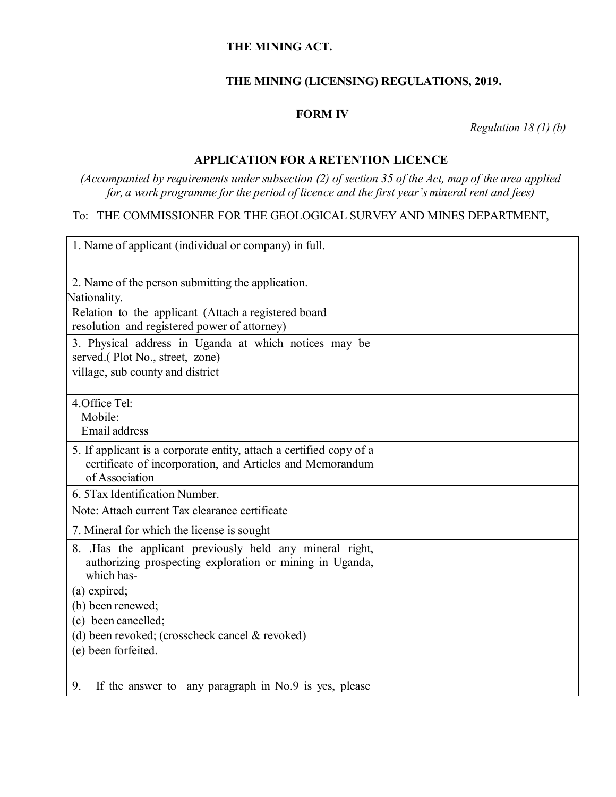### **THE MINING ACT.**

## **THE MINING (LICENSING) REGULATIONS, 2019.**

#### **FORM IV**

*Regulation 18 (1) (b)*

#### **APPLICATION FOR A RETENTION LICENCE**

*(Accompanied by requirements under subsection (2) of section 35 of the Act, map of the area applied for, a work programme for the period of licence and the first year's mineral rent and fees)*

# To: THE COMMISSIONER FOR THE GEOLOGICAL SURVEY AND MINES DEPARTMENT,

| 1. Name of applicant (individual or company) in full.                                                                             |  |
|-----------------------------------------------------------------------------------------------------------------------------------|--|
| 2. Name of the person submitting the application.                                                                                 |  |
| Nationality.                                                                                                                      |  |
| Relation to the applicant (Attach a registered board                                                                              |  |
| resolution and registered power of attorney)                                                                                      |  |
| 3. Physical address in Uganda at which notices may be                                                                             |  |
| served.(Plot No., street, zone)                                                                                                   |  |
| village, sub county and district                                                                                                  |  |
| 4. Office Tel:                                                                                                                    |  |
| Mobile:                                                                                                                           |  |
| Email address                                                                                                                     |  |
| 5. If applicant is a corporate entity, attach a certified copy of a                                                               |  |
| certificate of incorporation, and Articles and Memorandum<br>of Association                                                       |  |
| 6. 5 Tax Identification Number.                                                                                                   |  |
| Note: Attach current Tax clearance certificate                                                                                    |  |
| 7. Mineral for which the license is sought                                                                                        |  |
| 8. Has the applicant previously held any mineral right,<br>authorizing prospecting exploration or mining in Uganda,<br>which has- |  |
| (a) expired;                                                                                                                      |  |
| (b) been renewed;                                                                                                                 |  |
| (c) been cancelled;                                                                                                               |  |
| (d) been revoked; (crosscheck cancel & revoked)                                                                                   |  |
| (e) been forfeited.                                                                                                               |  |
|                                                                                                                                   |  |
| If the answer to any paragraph in No.9 is yes, please<br>9.                                                                       |  |